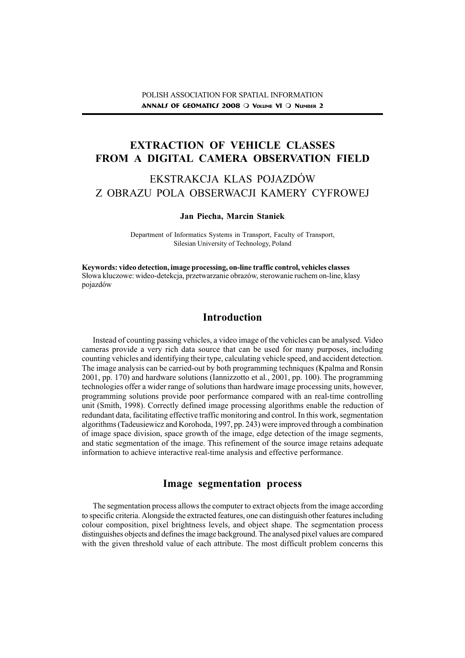# EXTRACTION OF VEHICLE CLASSES FROM A DIGITAL CAMERA OBSERVATION FIELD

# EKSTRAKCJA KLAS POJAZDÓW Z OBRAZU POLA OBSERWACJI KAMERY CYFROWEJ

#### Jan Piecha, Marcin Staniek

Department of Informatics Systems in Transport, Faculty of Transport, Silesian University of Technology, Poland

Keywords: video detection, image processing, on-line traffic control, vehicles classes S³owa kluczowe: wideo-detekcja, przetwarzanie obrazów, sterowanie ruchem on-line, klasy pojazdów

## Introduction

Instead of counting passing vehicles, a video image of the vehicles can be analysed. Video cameras provide a very rich data source that can be used for many purposes, including counting vehicles and identifying their type, calculating vehicle speed, and accident detection. The image analysis can be carried-out by both programming techniques (Kpalma and Ronsin 2001, pp. 170) and hardware solutions (Iannizzotto et al., 2001, pp. 100). The programming technologies offer a wider range of solutions than hardware image processing units, however, programming solutions provide poor performance compared with an real-time controlling unit (Smith, 1998). Correctly defined image processing algorithms enable the reduction of redundant data, facilitating effective traffic monitoring and control. In this work, segmentation algorithms (Tadeusiewicz and Korohoda, 1997, pp. 243) were improved through a combination of image space division, space growth of the image, edge detection of the image segments, and static segmentation of the image. This refinement of the source image retains adequate information to achieve interactive real-time analysis and effective performance.

## Image segmentation process

The segmentation process allows the computer to extract objects from the image according to specific criteria. Alongside the extracted features, one can distinguish other features including colour composition, pixel brightness levels, and object shape. The segmentation process distinguishes objects and defines the image background. The analysed pixel values are compared with the given threshold value of each attribute. The most difficult problem concerns this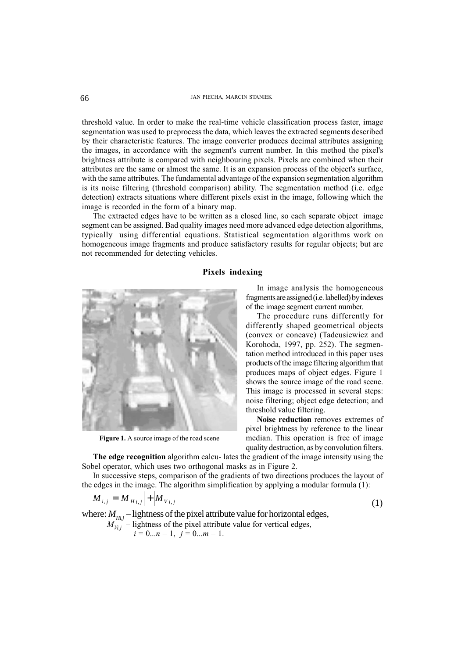threshold value. In order to make the real-time vehicle classification process faster, image segmentation was used to preprocess the data, which leaves the extracted segments described by their characteristic features. The image converter produces decimal attributes assigning the images, in accordance with the segment's current number. In this method the pixel's brightness attribute is compared with neighbouring pixels. Pixels are combined when their attributes are the same or almost the same. It is an expansion process of the object's surface, with the same attributes. The fundamental advantage of the expansion segmentation algorithm is its noise filtering (threshold comparison) ability. The segmentation method (i.e. edge detection) extracts situations where different pixels exist in the image, following which the image is recorded in the form of a binary map.

The extracted edges have to be written as a closed line, so each separate object image segment can be assigned. Bad quality images need more advanced edge detection algorithms, typically using differential equations. Statistical segmentation algorithms work on homogeneous image fragments and produce satisfactory results for regular objects; but are not recommended for detecting vehicles.

#### Pixels indexing



Figure 1. A source image of the road scene

In image analysis the homogeneous fragments are assigned (i.e. labelled) by indexes of the image segment current number.

The procedure runs differently for differently shaped geometrical objects (convex or concave) (Tadeusiewicz and Korohoda, 1997, pp. 252). The segmentation method introduced in this paper uses products of the image filtering algorithm that produces maps of object edges. Figure 1 shows the source image of the road scene. This image is processed in several steps: noise filtering; object edge detection; and threshold value filtering.

Noise reduction removes extremes of pixel brightness by reference to the linear median. This operation is free of image quality destruction, as by convolution filters.

The edge recognition algorithm calcu- lates the gradient of the image intensity using the Sobel operator, which uses two orthogonal masks as in Figure 2.

In successive steps, comparison of the gradients of two directions produces the layout of the edges in the image. The algorithm simplification by applying a modular formula (1):

$$
M_{i,j} = |M_{H_{i,j}}| + |M_{V_{i,j}}|
$$
 (1)

where:  $M_{Hi,j}$  – lightness of the pixel attribute value for horizontal edges,  $M_{Vi,j}^{n_{i,j}}$  – lightness of the pixel attribute value for vertical edges,  $i = 0...n - 1, i = 0...m - 1.$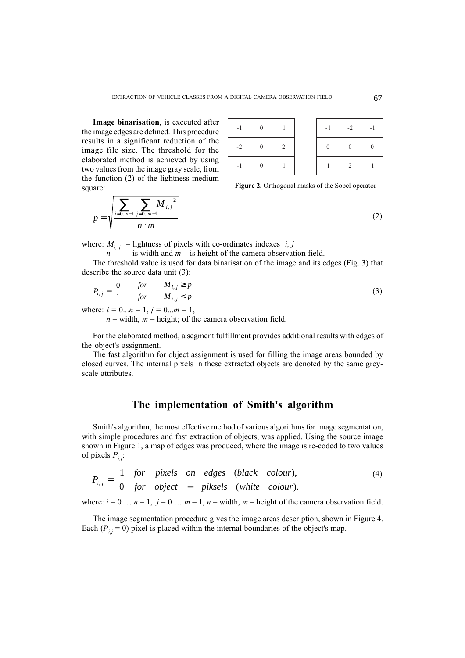Image binarisation, is executed after the image edges are defined. This procedure results in a significant reduction of the image file size. The threshold for the elaborated method is achieved by using two values from the image gray scale, from the function (2) of the lightness medium square:

| $-1$ | $\overline{0}$ |                | $-1$           | $-2$           |
|------|----------------|----------------|----------------|----------------|
| $-2$ | $\overline{0}$ | $\overline{2}$ | $\overline{0}$ | $\overline{0}$ |
|      | $\overline{0}$ |                |                | $\overline{2}$ |

Figure 2. Orthogonal masks of the Sobel operator

$$
p = \sqrt{\frac{\sum_{i=0..n-1}^{ } \sum_{j=0..m-1}^{ } M_{i,j}^2}{n \cdot m}}
$$

where:  $M_{i,j}$  – lightness of pixels with co-ordinates indexes  $\langle i, j \rangle$ 

- is width and  $m -$  is height of the camera observation field.

The threshold value is used for data binarisation of the image and its edges (Fig. 3) that describe the source data unit (3):

$$
P_{i,j} = \begin{cases} 0 & \text{for} & M_{i,j} \ge p \\ 1 & \text{for} & M_{i,j} < p \end{cases} \tag{3}
$$

where:  $i = 0...n - 1$ ,  $j = 0...m - 1$ ,

 $n$  – width,  $m$  – height; of the camera observation field.

For the elaborated method, a segment fulfillment provides additional results with edges of the object's assignment.

The fast algorithm for object assignment is used for filling the image areas bounded by closed curves. The internal pixels in these extracted objects are denoted by the same greyscale attributes.

### The implementation of Smith's algorithm

Smith's algorithm, the most effective method of various algorithms for image segmentation, with simple procedures and fast extraction of objects, was applied. Using the source image shown in Figure 1, a map of edges was produced, where the image is re-coded to two values of pixels  $P_{ij}$ :

$$
P_{i,j} = \begin{cases} 1 & \text{for } pixels \text{ on } edges \text{ (black colour)}, \\ 0 & \text{for } object \text{ -- } pixels \text{ (white colour)}. \end{cases} \tag{4}
$$

where:  $i = 0 \dots n-1$ ,  $i = 0 \dots m-1$ ,  $n -$  width, m – height of the camera observation field.

The image segmentation procedure gives the image areas description, shown in Figure 4. Each ( $P_{ij} = 0$ ) pixel is placed within the internal boundaries of the object's map.

(2)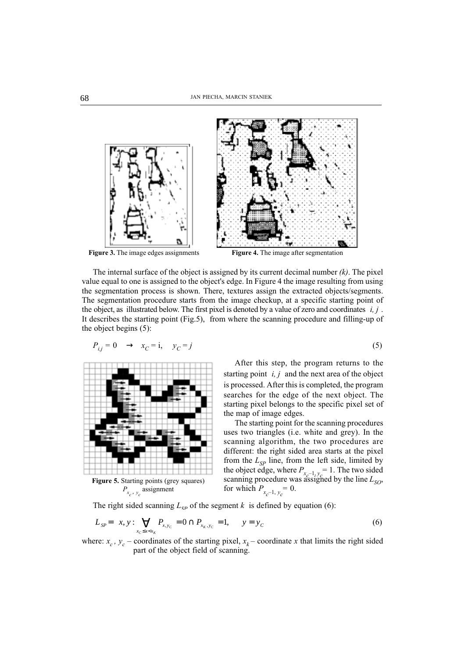



Figure 3. The image edges assignments Figure 4. The image after segmentation

The internal surface of the object is assigned by its current decimal number  $(k)$ . The pixel value equal to one is assigned to the object's edge. In Figure 4 the image resulting from using the segmentation process is shown. There, textures assign the extracted objects/segments. The segmentation procedure starts from the image checkup, at a specific starting point of the object, as illustrated below. The first pixel is denoted by a value of zero and coordinates  $\langle i, j \rangle$ . It describes the starting point (Fig.5), from where the scanning procedure and filling-up of the object begins (5):

$$
P_{i,j} = 0 \quad \rightarrow \quad x_C = i, \quad y_C = j \tag{5}
$$



Figure 5. Starting points (grey squares)  $P_{x_c}$ ,  $y_c$  assignment

After this step, the program returns to the starting point  $\langle i, j \rangle$  and the next area of the object is processed. After this is completed, the program searches for the edge of the next object. The starting pixel belongs to the specific pixel set of the map of image edges.

The starting point for the scanning procedures uses two triangles (i.e. white and grey). In the scanning algorithm, the two procedures are different: the right sided area starts at the pixel from the  $L_{SP}$  line, from the left side, limited by the object edge, where  $P_{x_c-1, y_c} = 1$ . The two sided scanning procedure was assigned by the line  $L_{SO}$ , for which  $P_{x_c-1, y_c} = 0$ .

The right sided scanning  $L_{SP}$  of the segment k is defined by equation (6):

$$
L_{SP} = \left\{ x, y : \bigvee_{x_C \le x < x_K} P_{x, y_C} = 0 \cap P_{x_K, y_C} = 1, \qquad y = y_C \right\} \tag{6}
$$

where:  $x_c$ ,  $y_c$  – coordinates of the starting pixel,  $x_k$  – coordinate x that limits the right sided part of the object field of scanning.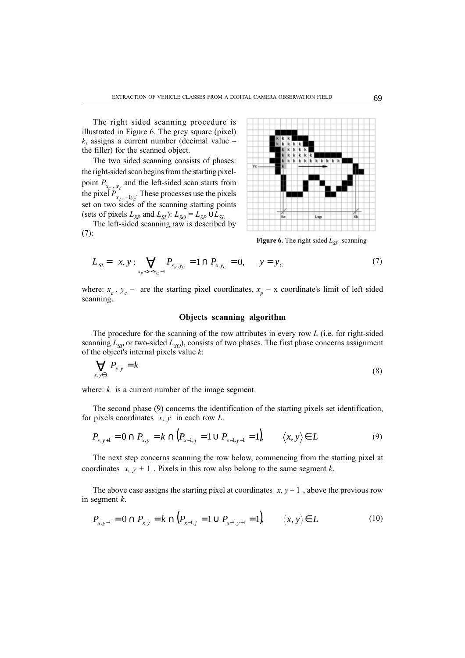The right sided scanning procedure is illustrated in Figure 6. The grey square (pixel)  $k$ , assigns a current number (decimal value  $$ the filler) for the scanned object.

The two sided scanning consists of phases: the right-sided scan begins from the starting pixelpoint  $P_{x_c}$ ,  $y_c$  and the left-sided scan starts from the pixel  $P_{x_c, -1y_c}$ . These processes use the pixels set on two sides of the scanning starting points (sets of pixels  $L_{SP}$  and  $L_{SL}$ ):  $L_{SO} = L_{SP} \cup L_{SL}$ 

The left-sided scanning raw is described by (7):



Figure 6. The right sided  $L_{SP}$  scanning

$$
L_{SL} = \left\{ x, y: \bigvee_{x_p < x \le x_C - 1} P_{x_p, y_C} = 1 \cap P_{x, y_C} = 0, \qquad y = y_C \right\} \tag{7}
$$

where:  $x_c$ ,  $y_c$  – are the starting pixel coordinates,  $x_p$  – x coordinate's limit of left sided scanning.

#### Objects scanning algorithm

The procedure for the scanning of the row attributes in every row  $L$  (i.e. for right-sided scanning  $L_{SP}$  or two-sided  $L_{SO}$ ), consists of two phases. The first phase concerns assignment of the object's internal pixels value  $k$ :

$$
\bigvee_{x,y \in L} P_{x,y} = k \tag{8}
$$

where:  $k$  is a current number of the image segment.

The second phase (9) concerns the identification of the starting pixels set identification, for pixels coordinates  $\langle x, y \rangle$  in each row L.

$$
P_{x,y+1} = 0 \cap P_{x,y} = k \cap (P_{x-1,y} = 1 \cup P_{x-1,y+1} = 1), \qquad \langle x, y \rangle \in L
$$
 (9)

The next step concerns scanning the row below, commencing from the starting pixel at coordinates  $\langle x, y + 1 \rangle$ . Pixels in this row also belong to the same segment k.

The above case assigns the starting pixel at coordinates  $\langle x, y - 1 \rangle$ , above the previous row in segment k.

$$
P_{x,y-1} = 0 \cap P_{x,y} = k \cap (P_{x-1,y} = 1 \cup P_{x-1,y-1} = 1), \qquad \langle x, y \rangle \in L \tag{10}
$$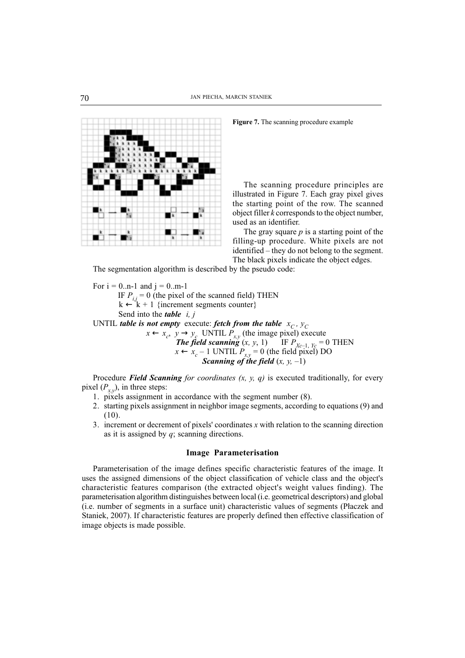



The scanning procedure principles are illustrated in Figure 7. Each gray pixel gives the starting point of the row. The scanned object filler  $k$  corresponds to the object number, used as an identifier.

The gray square  $p$  is a starting point of the filling-up procedure. White pixels are not  $identified - they do not belong to the segment.$ The black pixels indicate the object edges.

The segmentation algorithm is described by the pseudo code:

For  $i = 0 \dots n-1$  and  $j = 0 \dots m-1$ IF  $P_{i,j} = 0$  (the pixel of the scanned field) THEN  $k \leftarrow k + 1$  {increment segments counter} Send into the *table*  $\langle i, j \rangle$ UNTIL table is not empty execute: fetch from the table  $\langle x_C, y_C \rangle$  $x \leftarrow x_c$ ,  $y \rightarrow y_c$  UNTIL  $P_{x,y}$  (the image pixel) execute **The field scanning**  $(x, y, 1)$  IF  $P_{Xc-1, Yc} = 0$  THEN  $x \leftarrow x_c - 1$  UNTIL  $P_{x,y} = 0$  (the field pixel) DO  $$ 

Procedure Field Scanning for coordinates  $(x, y, q)$  is executed traditionally, for every pixel  $(P_{x,y})$ , in three steps:

- 1. pixels assignment in accordance with the segment number (8).
- 2. starting pixels assignment in neighbor image segments, according to equations (9) and (10).
- 3. increment or decrement of pixels' coordinates  $x$  with relation to the scanning direction as it is assigned by  $q$ ; scanning directions.

#### Image Parameterisation

Parameterisation of the image defines specific characteristic features of the image. It uses the assigned dimensions of the object classification of vehicle class and the object's characteristic features comparison (the extracted object's weight values finding). The parameterisation algorithm distinguishes between local (i.e. geometrical descriptors) and global (i.e. number of segments in a surface unit) characteristic values of segments (P³aczek and Staniek, 2007). If characteristic features are properly defined then effective classification of image objects is made possible.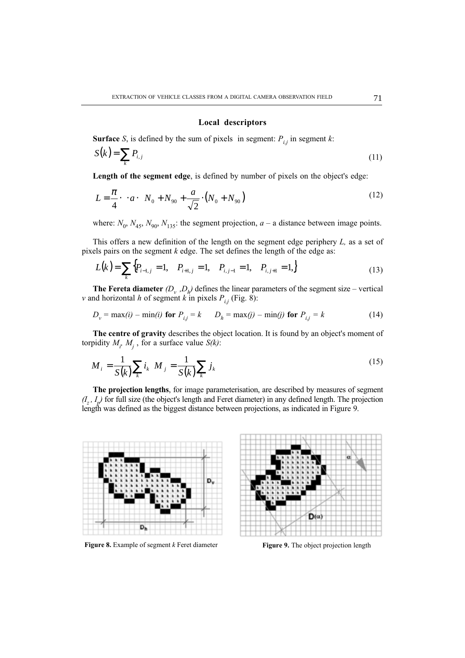#### Local descriptors

**Surface** S, is defined by the sum of pixels in segment:  $P_{ij}$  in segment k:

$$
S(k) = \sum_{k} P_{i,j} \tag{11}
$$

Length of the segment edge, is defined by number of pixels on the object's edge:

$$
L = \frac{\pi}{4} \cdot \left[ \cdot a \cdot \left( N_0 + N_{90} + \frac{a}{\sqrt{2}} \cdot \left( N_0 + N_{90} \right) \right) \right]
$$
 (12)

where:  $N_0$ ,  $N_{45}$ ,  $N_{90}$ ,  $N_{135}$ : the segment projection,  $a - a$  distance between image points.

This offers a new definition of the length on the segment edge periphery  $L$ , as a set of pixels pairs on the segment  $k$  edge. The set defines the length of the edge as:

$$
L(k) = \sum_{k} \{ P_{i-1,j} = 1, \quad P_{i+1,j} = 1, \quad P_{i,j-1} = 1, \quad P_{i,j+1} = 1, \}
$$
 (13)

**The Fereta diameter**  $(D_v, D_h)$  defines the linear parameters of the segment size – vertical v and horizontal h of segment k in pixels  $P_{i,j}$  (Fig. 8):

$$
D_v = \max(i) - \min(i)
$$
 for  $P_{i,j} = k$   $D_h = \max(j) - \min(j)$  for  $P_{i,j} = k$  (14)

The centre of gravity describes the object location. It is found by an object's moment of torpidity  $M_i$ ,  $M_j$ , for a surface value  $S(k)$ :

$$
M_{i} = \frac{1}{S(k)} \sum_{k} i_{k} M_{j} = \frac{1}{S(k)} \sum_{k} j_{k}
$$
 (15)

The projection lengths, for image parameterisation, are described by measures of segment  $(I_z, I_p)$  for full size (the object's length and Feret diameter) in any defined length. The projection length was defined as the biggest distance between projections, as indicated in Figure 9.



Figure 8. Example of segment  $k$  Feret diameter

Figure 9. The object projection length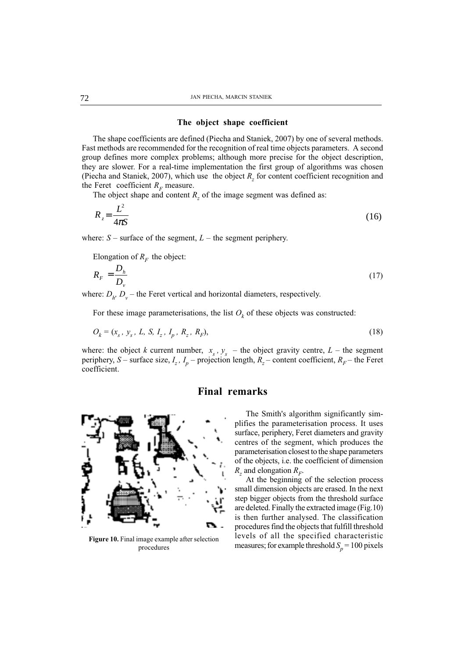#### The object shape coefficient

The shape coefficients are defined (Piecha and Staniek, 2007) by one of several methods. Fast methods are recommended for the recognition of real time objects parameters. A second group defines more complex problems; although more precise for the object description, they are slower. For a real-time implementation the first group of algorithms was chosen (Piecha and Staniek, 2007), which use the object  $R<sub>z</sub>$  for content coefficient recognition and the Feret coefficient  $R<sub>F</sub>$  measure.

The object shape and content  $R_z$  of the image segment was defined as:

$$
R_z = \frac{L^2}{4\pi S} \tag{16}
$$

where:  $S$  – surface of the segment,  $L$  – the segment periphery.

Elongation of  $R_F$  the object:

$$
R_F = \frac{D_h}{D_v} \tag{17}
$$

where:  $D_h$ ,  $D_v$  – the Feret vertical and horizontal diameters, respectively.

For these image parameterisations, the list  $O_k$  of these objects was constructed:

$$
O_k = (x_s, y_s, L, S, I_z, I_p, R_z, R_F),
$$
\n(18)

where: the object k current number,  $\langle x_s, y_s \rangle$  – the object gravity centre, L – the segment periphery, S – surface size,  $I_z$ ,  $I_p$  – projection length,  $R_z$  – content coefficient,  $R_{\overline{F}}$  – the Feret coefficient.

### Final remarks



Figure 10. Final image example after selection procedures

The Smith's algorithm significantly simplifies the parameterisation process. It uses surface, periphery, Feret diameters and gravity centres of the segment, which produces the parameterisation closest to the shape parameters of the objects, i.e. the coefficient of dimension  $R_z$  and elongation  $R_F$ .

At the beginning of the selection process small dimension objects are erased. In the next step bigger objects from the threshold surface are deleted. Finally the extracted image (Fig.10) is then further analysed. The classification procedures find the objects that fulfill threshold levels of all the specified characteristic measures; for example threshold  $S_p = 100$  pixels